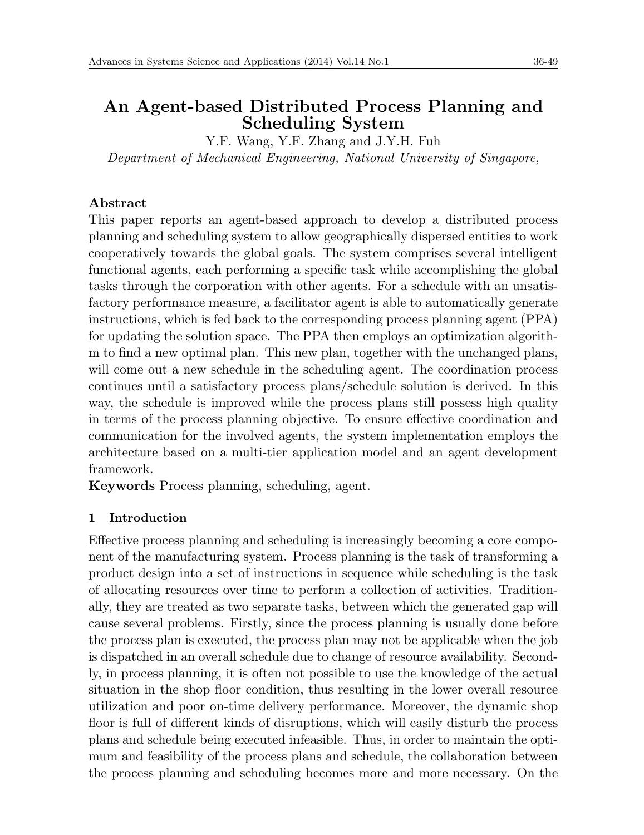# **An Agent-based Distributed Process Planning and Scheduling System**

Y.F. Wang, Y.F. Zhang and J.Y.H. Fuh *Department of Mechanical Engineering, National University of Singapore,*

# **Abstract**

This paper reports an agent-based approach to develop a distributed process planning and scheduling system to allow geographically dispersed entities to work cooperatively towards the global goals. The system comprises several intelligent functional agents, each performing a specific task while accomplishing the global tasks through the corporation with other agents. For a schedule with an unsatisfactory performance measure, a facilitator agent is able to automatically generate instructions, which is fed back to the corresponding process planning agent (PPA) for updating the solution space. The PPA then employs an optimization algorithm to find a new optimal plan. This new plan, together with the unchanged plans, will come out a new schedule in the scheduling agent. The coordination process continues until a satisfactory process plans/schedule solution is derived. In this way, the schedule is improved while the process plans still possess high quality in terms of the process planning objective. To ensure effective coordination and communication for the involved agents, the system implementation employs the architecture based on a multi-tier application model and an agent development framework.

**Keywords** Process planning, scheduling, agent.

# **1 Introduction**

Effective process planning and scheduling is increasingly becoming a core component of the manufacturing system. Process planning is the task of transforming a product design into a set of instructions in sequence while scheduling is the task of allocating resources over time to perform a collection of activities. Traditionally, they are treated as two separate tasks, between which the generated gap will cause several problems. Firstly, since the process planning is usually done before the process plan is executed, the process plan may not be applicable when the job is dispatched in an overall schedule due to change of resource availability. Secondly, in process planning, it is often not possible to use the knowledge of the actual situation in the shop floor condition, thus resulting in the lower overall resource utilization and poor on-time delivery performance. Moreover, the dynamic shop floor is full of different kinds of disruptions, which will easily disturb the process plans and schedule being executed infeasible. Thus, in order to maintain the optimum and feasibility of the process plans and schedule, the collaboration between the process planning and scheduling becomes more and more necessary. On the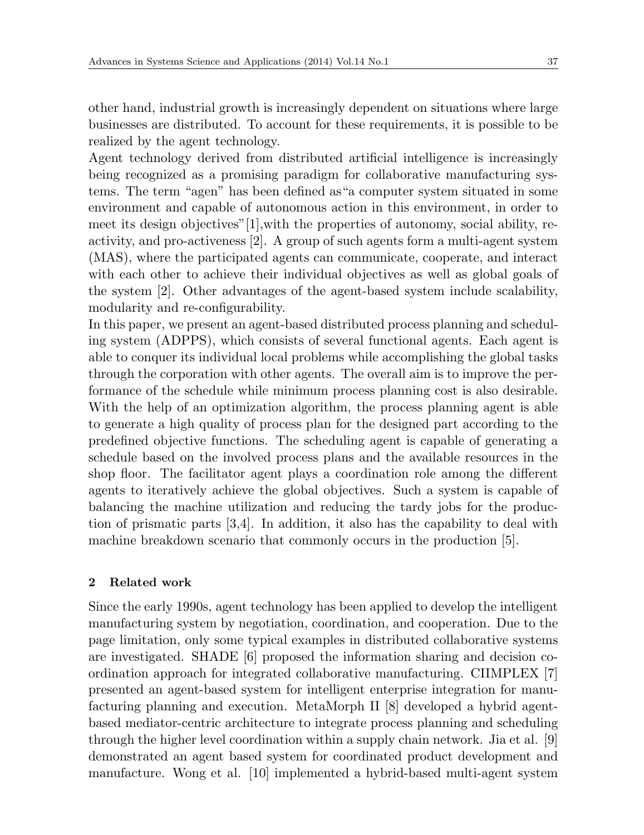other hand, industrial growth is increasingly dependent on situations where large businesses are distributed. To account for these requirements, it is possible to be realized by the agent technology.

Agent technology derived from distributed artificial intelligence is increasingly being recognized as a promising paradigm for collaborative manufacturing systems. The term "agen" has been defined as"a computer system situated in some environment and capable of autonomous action in this environment, in order to meet its design objectives"[1],with the properties of autonomy, social ability, reactivity, and pro-activeness [2]. A group of such agents form a multi-agent system (MAS), where the participated agents can communicate, cooperate, and interact with each other to achieve their individual objectives as well as global goals of the system [2]. Other advantages of the agent-based system include scalability, modularity and re-configurability.

In this paper, we present an agent-based distributed process planning and scheduling system (ADPPS), which consists of several functional agents. Each agent is able to conquer its individual local problems while accomplishing the global tasks through the corporation with other agents. The overall aim is to improve the performance of the schedule while minimum process planning cost is also desirable. With the help of an optimization algorithm, the process planning agent is able to generate a high quality of process plan for the designed part according to the predefined objective functions. The scheduling agent is capable of generating a schedule based on the involved process plans and the available resources in the shop floor. The facilitator agent plays a coordination role among the different agents to iteratively achieve the global objectives. Such a system is capable of balancing the machine utilization and reducing the tardy jobs for the production of prismatic parts [3,4]. In addition, it also has the capability to deal with machine breakdown scenario that commonly occurs in the production [5].

#### **2 Related work**

Since the early 1990s, agent technology has been applied to develop the intelligent manufacturing system by negotiation, coordination, and cooperation. Due to the page limitation, only some typical examples in distributed collaborative systems are investigated. SHADE [6] proposed the information sharing and decision coordination approach for integrated collaborative manufacturing. CIIMPLEX [7] presented an agent-based system for intelligent enterprise integration for manufacturing planning and execution. MetaMorph II [8] developed a hybrid agentbased mediator-centric architecture to integrate process planning and scheduling through the higher level coordination within a supply chain network. Jia et al. [9] demonstrated an agent based system for coordinated product development and manufacture. Wong et al. [10] implemented a hybrid-based multi-agent system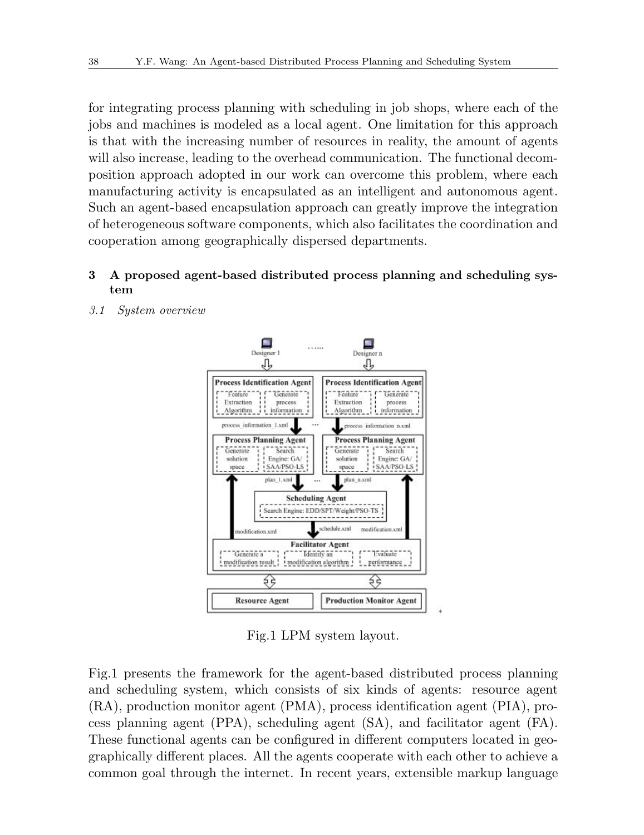for integrating process planning with scheduling in job shops, where each of the jobs and machines is modeled as a local agent. One limitation for this approach is that with the increasing number of resources in reality, the amount of agents will also increase, leading to the overhead communication. The functional decomposition approach adopted in our work can overcome this problem, where each manufacturing activity is encapsulated as an intelligent and autonomous agent. Such an agent-based encapsulation approach can greatly improve the integration of heterogeneous software components, which also facilitates the coordination and cooperation among geographically dispersed departments.

### **3 A proposed agent-based distributed process planning and scheduling system**



*3.1 System overview*

Fig.1 LPM system layout.

Fig.1 presents the framework for the agent-based distributed process planning and scheduling system, which consists of six kinds of agents: resource agent (RA), production monitor agent (PMA), process identification agent (PIA), process planning agent (PPA), scheduling agent (SA), and facilitator agent (FA). These functional agents can be configured in different computers located in geographically different places. All the agents cooperate with each other to achieve a common goal through the internet. In recent years, extensible markup language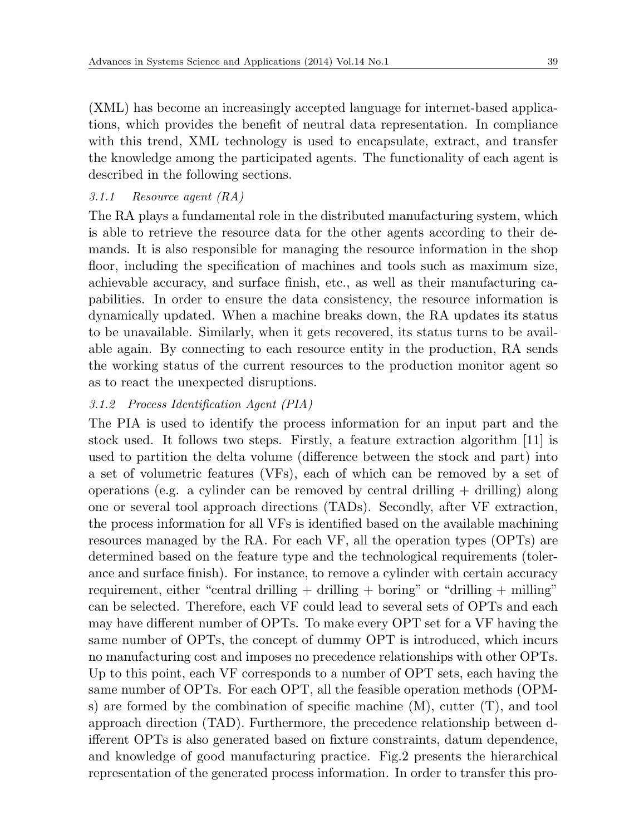(XML) has become an increasingly accepted language for internet-based applications, which provides the benefit of neutral data representation. In compliance with this trend, XML technology is used to encapsulate, extract, and transfer the knowledge among the participated agents. The functionality of each agent is described in the following sections.

### *3.1.1 Resource agent (RA)*

The RA plays a fundamental role in the distributed manufacturing system, which is able to retrieve the resource data for the other agents according to their demands. It is also responsible for managing the resource information in the shop floor, including the specification of machines and tools such as maximum size, achievable accuracy, and surface finish, etc., as well as their manufacturing capabilities. In order to ensure the data consistency, the resource information is dynamically updated. When a machine breaks down, the RA updates its status to be unavailable. Similarly, when it gets recovered, its status turns to be available again. By connecting to each resource entity in the production, RA sends the working status of the current resources to the production monitor agent so as to react the unexpected disruptions.

## *3.1.2 Process Identification Agent (PIA)*

The PIA is used to identify the process information for an input part and the stock used. It follows two steps. Firstly, a feature extraction algorithm [11] is used to partition the delta volume (difference between the stock and part) into a set of volumetric features (VFs), each of which can be removed by a set of operations (e.g. a cylinder can be removed by central drilling  $+$  drilling) along one or several tool approach directions (TADs). Secondly, after VF extraction, the process information for all VFs is identified based on the available machining resources managed by the RA. For each VF, all the operation types (OPTs) are determined based on the feature type and the technological requirements (tolerance and surface finish). For instance, to remove a cylinder with certain accuracy requirement, either "central drilling  $+$  drilling  $+$  boring" or "drilling  $+$  milling" can be selected. Therefore, each VF could lead to several sets of OPTs and each may have different number of OPTs. To make every OPT set for a VF having the same number of OPTs, the concept of dummy OPT is introduced, which incurs no manufacturing cost and imposes no precedence relationships with other OPTs. Up to this point, each VF corresponds to a number of OPT sets, each having the same number of OPTs. For each OPT, all the feasible operation methods (OPMs) are formed by the combination of specific machine  $(M)$ , cutter  $(T)$ , and tool approach direction (TAD). Furthermore, the precedence relationship between different OPTs is also generated based on fixture constraints, datum dependence, and knowledge of good manufacturing practice. Fig.2 presents the hierarchical representation of the generated process information. In order to transfer this pro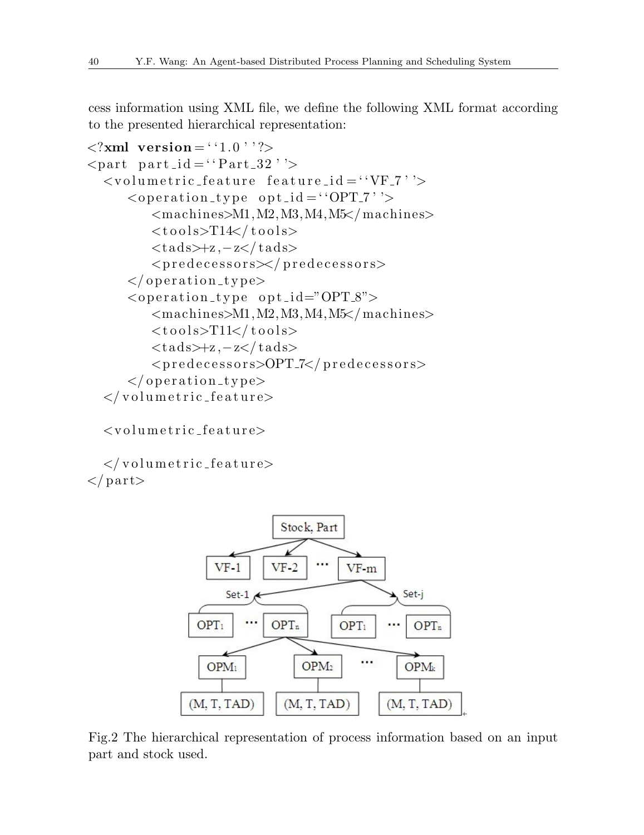cess information using XML file, we define the following XML format according to the presented hierarchical representation:

```
\langle?xml version = ''1.0''?>
\langlepart part_id = "Part_32" '>
  \langlevolumetric_feature feature_id = "VF<sub>-7</sub>" \rangle\langleoperation_type opt_id = "OPT_7" '>
           <machines>M1,M2,M3,M4,M5</machines>
           <t o o l s>T14</ t o o l s>
           <t a d s>+z ,−z</ t a d s>
           <p r e d e c e s s o r s></ p r e d e c e s s o r s>
       </ o p e r a ti o n t y p e>
       <o p e r a ti o n t y p e o p t i d="OPT 8">
           <machines>M1,M2,M3,M4,M5</machines>
           <t o o l s>T11</ t o o l s>
           <t a d s>+z ,−z</ t a d s>
           <p r e d e c e s s o r s>OPT 7</ p r e d e c e s s o r s>
       </ o p e r a ti o n t y p e>
  \langle/volumetric_feature>
```
 $\langle$ volumetric\_feature>

 $\langle$ /volumetric\_feature> *<*/ p a r t*>*



Fig.2 The hierarchical representation of process information based on an input part and stock used.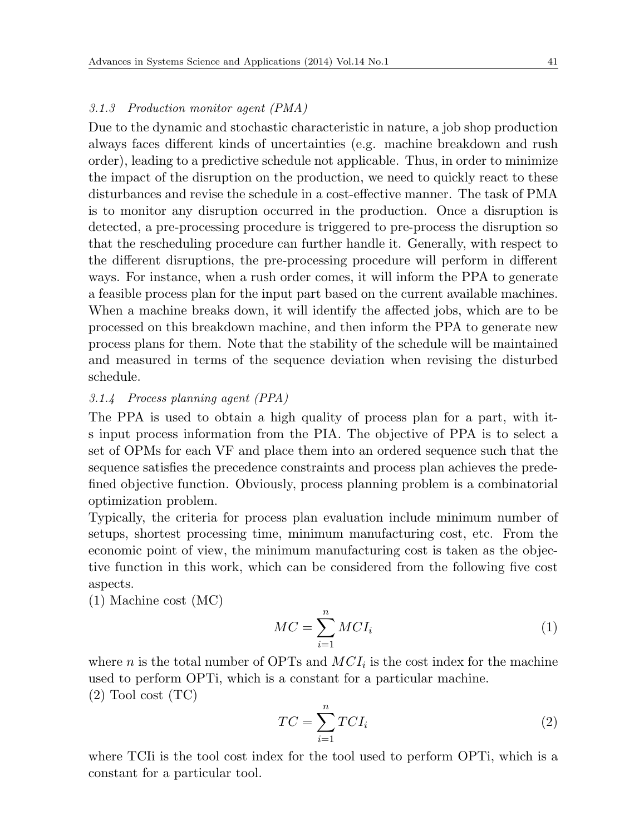#### *3.1.3 Production monitor agent (PMA)*

Due to the dynamic and stochastic characteristic in nature, a job shop production always faces different kinds of uncertainties (e.g. machine breakdown and rush order), leading to a predictive schedule not applicable. Thus, in order to minimize the impact of the disruption on the production, we need to quickly react to these disturbances and revise the schedule in a cost-effective manner. The task of PMA is to monitor any disruption occurred in the production. Once a disruption is detected, a pre-processing procedure is triggered to pre-process the disruption so that the rescheduling procedure can further handle it. Generally, with respect to the different disruptions, the pre-processing procedure will perform in different ways. For instance, when a rush order comes, it will inform the PPA to generate a feasible process plan for the input part based on the current available machines. When a machine breaks down, it will identify the affected jobs, which are to be processed on this breakdown machine, and then inform the PPA to generate new process plans for them. Note that the stability of the schedule will be maintained and measured in terms of the sequence deviation when revising the disturbed schedule.

#### *3.1.4 Process planning agent (PPA)*

The PPA is used to obtain a high quality of process plan for a part, with its input process information from the PIA. The objective of PPA is to select a set of OPMs for each VF and place them into an ordered sequence such that the sequence satisfies the precedence constraints and process plan achieves the predefined objective function. Obviously, process planning problem is a combinatorial optimization problem.

Typically, the criteria for process plan evaluation include minimum number of setups, shortest processing time, minimum manufacturing cost, etc. From the economic point of view, the minimum manufacturing cost is taken as the objective function in this work, which can be considered from the following five cost aspects.

(1) Machine cost (MC)

$$
MC = \sum_{i=1}^{n} MCI_i
$$
 (1)

where  $n$  is the total number of OPTs and  $MCI_i$  is the cost index for the machine used to perform OPTi, which is a constant for a particular machine.  $(2)$  Tool cost  $(TC)$ 

$$
TC = \sum_{i=1}^{n} TCI_i
$$
 (2)

where TCIi is the tool cost index for the tool used to perform OPTi, which is a constant for a particular tool.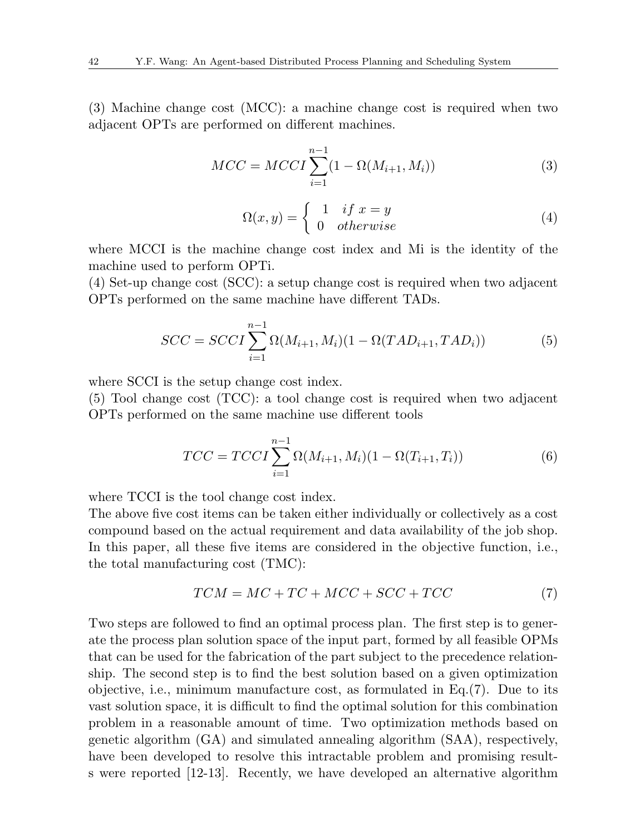(3) Machine change cost (MCC): a machine change cost is required when two adjacent OPTs are performed on different machines.

$$
MCC = MCCI \sum_{i=1}^{n-1} (1 - \Omega(M_{i+1}, M_i))
$$
 (3)

$$
\Omega(x,y) = \begin{cases} 1 & \text{if } x = y \\ 0 & \text{otherwise} \end{cases}
$$
 (4)

where MCCI is the machine change cost index and Mi is the identity of the machine used to perform OPTi.

(4) Set-up change cost (SCC): a setup change cost is required when two adjacent OPTs performed on the same machine have different TADs.

$$
SCC = SCCI \sum_{i=1}^{n-1} \Omega(M_{i+1}, M_i)(1 - \Omega(TAD_{i+1}, TAD_i))
$$
 (5)

where SCCI is the setup change cost index.

(5) Tool change cost (TCC): a tool change cost is required when two adjacent OPTs performed on the same machine use different tools

$$
TCC = TCCI \sum_{i=1}^{n-1} \Omega(M_{i+1}, M_i)(1 - \Omega(T_{i+1}, T_i))
$$
\n(6)

where TCCI is the tool change cost index.

The above five cost items can be taken either individually or collectively as a cost compound based on the actual requirement and data availability of the job shop. In this paper, all these five items are considered in the objective function, i.e., the total manufacturing cost (TMC):

$$
TCM = MC + TC + MCC + SCC + TCC \tag{7}
$$

Two steps are followed to find an optimal process plan. The first step is to generate the process plan solution space of the input part, formed by all feasible OPMs that can be used for the fabrication of the part subject to the precedence relationship. The second step is to find the best solution based on a given optimization objective, i.e., minimum manufacture cost, as formulated in Eq.(7). Due to its vast solution space, it is difficult to find the optimal solution for this combination problem in a reasonable amount of time. Two optimization methods based on genetic algorithm (GA) and simulated annealing algorithm (SAA), respectively, have been developed to resolve this intractable problem and promising results were reported [12-13]. Recently, we have developed an alternative algorithm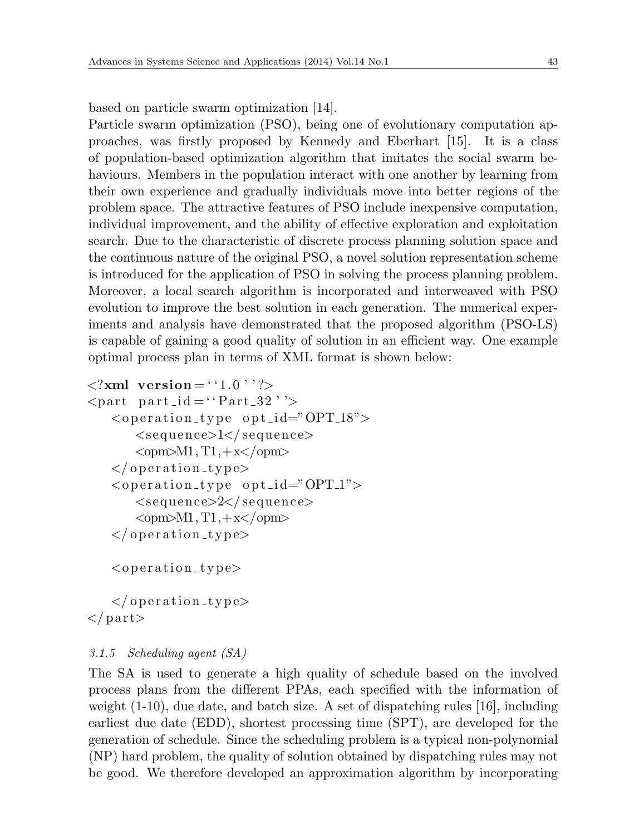based on particle swarm optimization [14].

Particle swarm optimization (PSO), being one of evolutionary computation approaches, was firstly proposed by Kennedy and Eberhart [15]. It is a class of population-based optimization algorithm that imitates the social swarm behaviours. Members in the population interact with one another by learning from their own experience and gradually individuals move into better regions of the problem space. The attractive features of PSO include inexpensive computation, individual improvement, and the ability of effective exploration and exploitation search. Due to the characteristic of discrete process planning solution space and the continuous nature of the original PSO, a novel solution representation scheme is introduced for the application of PSO in solving the process planning problem. Moreover, a local search algorithm is incorporated and interweaved with PSO evolution to improve the best solution in each generation. The numerical experiments and analysis have demonstrated that the proposed algorithm (PSO-LS) is capable of gaining a good quality of solution in an efficient way. One example optimal process plan in terms of XML format is shown below:

```
\langle?xml version = ''1.0''?>
\langlepart part_id = ''Part_32''>
   \langleoperation_type opt_id="OPT_18">
       <se quence>1</ se quence>
       <opm>M1, T1,+x</opm>
   </ o p e r a ti o n t y p e>
   <o p e r a ti o n t y p e o p t i d="OPT 1">
       <se quence>2</ se quence>
       <opm>M1, T1,+x</opm>
   </ o p e r a ti o n t y p e>
   <o p e r a ti o n t y p e>
```
*<*/ o p e r a ti o n t y p e*> <*/ p a r t*>*

#### *3.1.5 Scheduling agent (SA)*

The SA is used to generate a high quality of schedule based on the involved process plans from the different PPAs, each specified with the information of weight  $(1-10)$ , due date, and batch size. A set of dispatching rules [16], including earliest due date (EDD), shortest processing time (SPT), are developed for the generation of schedule. Since the scheduling problem is a typical non-polynomial (NP) hard problem, the quality of solution obtained by dispatching rules may not be good. We therefore developed an approximation algorithm by incorporating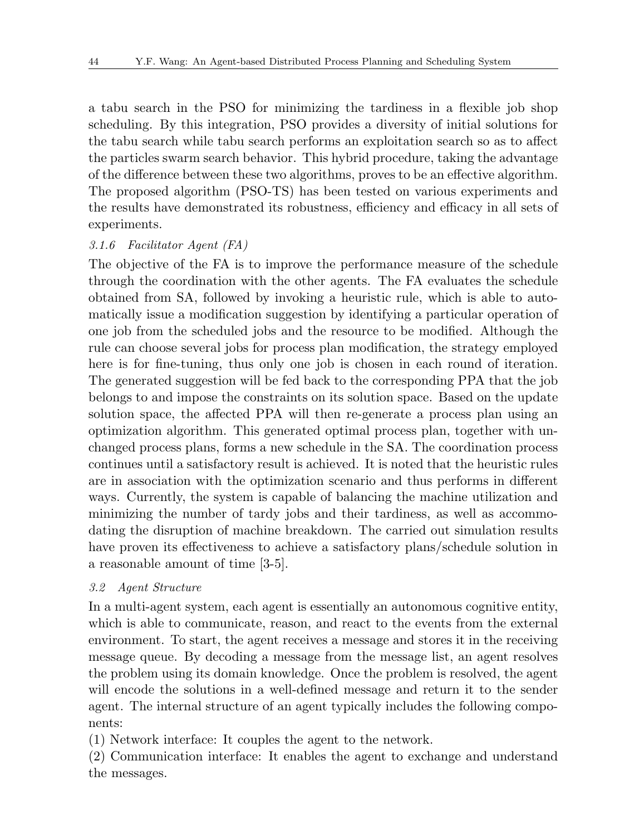a tabu search in the PSO for minimizing the tardiness in a flexible job shop scheduling. By this integration, PSO provides a diversity of initial solutions for the tabu search while tabu search performs an exploitation search so as to affect the particles swarm search behavior. This hybrid procedure, taking the advantage of the difference between these two algorithms, proves to be an effective algorithm. The proposed algorithm (PSO-TS) has been tested on various experiments and the results have demonstrated its robustness, efficiency and efficacy in all sets of experiments.

#### *3.1.6 Facilitator Agent (FA)*

The objective of the FA is to improve the performance measure of the schedule through the coordination with the other agents. The FA evaluates the schedule obtained from SA, followed by invoking a heuristic rule, which is able to automatically issue a modification suggestion by identifying a particular operation of one job from the scheduled jobs and the resource to be modified. Although the rule can choose several jobs for process plan modification, the strategy employed here is for fine-tuning, thus only one job is chosen in each round of iteration. The generated suggestion will be fed back to the corresponding PPA that the job belongs to and impose the constraints on its solution space. Based on the update solution space, the affected PPA will then re-generate a process plan using an optimization algorithm. This generated optimal process plan, together with unchanged process plans, forms a new schedule in the SA. The coordination process continues until a satisfactory result is achieved. It is noted that the heuristic rules are in association with the optimization scenario and thus performs in different ways. Currently, the system is capable of balancing the machine utilization and minimizing the number of tardy jobs and their tardiness, as well as accommodating the disruption of machine breakdown. The carried out simulation results have proven its effectiveness to achieve a satisfactory plans/schedule solution in a reasonable amount of time [3-5].

#### *3.2 Agent Structure*

In a multi-agent system, each agent is essentially an autonomous cognitive entity, which is able to communicate, reason, and react to the events from the external environment. To start, the agent receives a message and stores it in the receiving message queue. By decoding a message from the message list, an agent resolves the problem using its domain knowledge. Once the problem is resolved, the agent will encode the solutions in a well-defined message and return it to the sender agent. The internal structure of an agent typically includes the following components:

(1) Network interface: It couples the agent to the network.

(2) Communication interface: It enables the agent to exchange and understand the messages.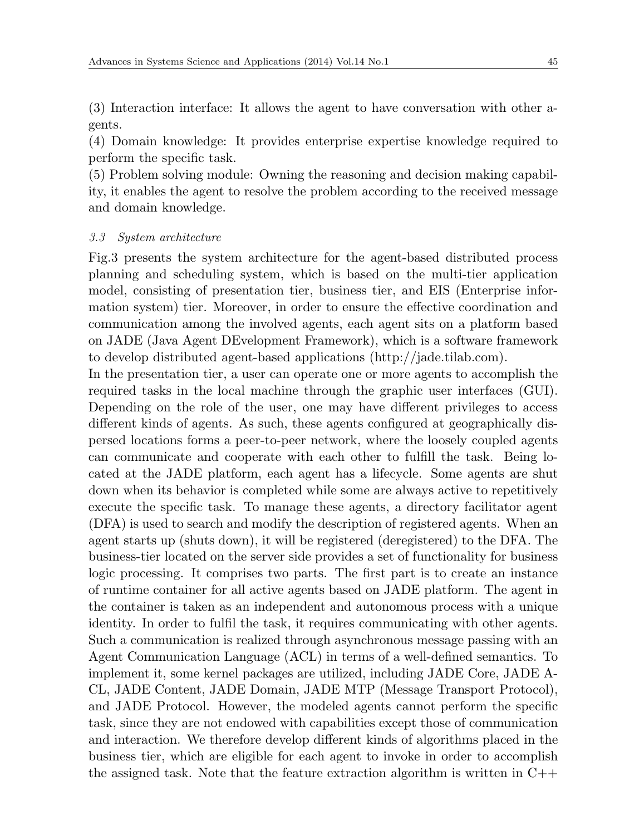(3) Interaction interface: It allows the agent to have conversation with other agents.

(4) Domain knowledge: It provides enterprise expertise knowledge required to perform the specific task.

(5) Problem solving module: Owning the reasoning and decision making capability, it enables the agent to resolve the problem according to the received message and domain knowledge.

#### *3.3 System architecture*

Fig.3 presents the system architecture for the agent-based distributed process planning and scheduling system, which is based on the multi-tier application model, consisting of presentation tier, business tier, and EIS (Enterprise information system) tier. Moreover, in order to ensure the effective coordination and communication among the involved agents, each agent sits on a platform based on JADE (Java Agent DEvelopment Framework), which is a software framework to develop distributed agent-based applications (http://jade.tilab.com).

In the presentation tier, a user can operate one or more agents to accomplish the required tasks in the local machine through the graphic user interfaces (GUI). Depending on the role of the user, one may have different privileges to access different kinds of agents. As such, these agents configured at geographically dispersed locations forms a peer-to-peer network, where the loosely coupled agents can communicate and cooperate with each other to fulfill the task. Being located at the JADE platform, each agent has a lifecycle. Some agents are shut down when its behavior is completed while some are always active to repetitively execute the specific task. To manage these agents, a directory facilitator agent (DFA) is used to search and modify the description of registered agents. When an agent starts up (shuts down), it will be registered (deregistered) to the DFA. The business-tier located on the server side provides a set of functionality for business logic processing. It comprises two parts. The first part is to create an instance of runtime container for all active agents based on JADE platform. The agent in the container is taken as an independent and autonomous process with a unique identity. In order to fulfil the task, it requires communicating with other agents. Such a communication is realized through asynchronous message passing with an Agent Communication Language (ACL) in terms of a well-defined semantics. To implement it, some kernel packages are utilized, including JADE Core, JADE A-CL, JADE Content, JADE Domain, JADE MTP (Message Transport Protocol), and JADE Protocol. However, the modeled agents cannot perform the specific task, since they are not endowed with capabilities except those of communication and interaction. We therefore develop different kinds of algorithms placed in the business tier, which are eligible for each agent to invoke in order to accomplish the assigned task. Note that the feature extraction algorithm is written in  $C_{++}$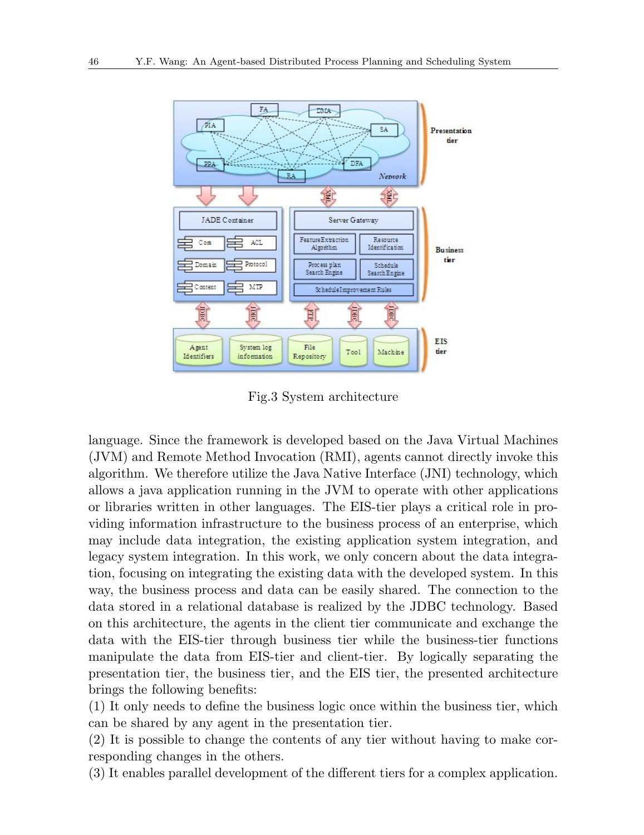

Fig.3 System architecture

language. Since the framework is developed based on the Java Virtual Machines (JVM) and Remote Method Invocation (RMI), agents cannot directly invoke this algorithm. We therefore utilize the Java Native Interface (JNI) technology, which allows a java application running in the JVM to operate with other applications or libraries written in other languages. The EIS-tier plays a critical role in providing information infrastructure to the business process of an enterprise, which may include data integration, the existing application system integration, and legacy system integration. In this work, we only concern about the data integration, focusing on integrating the existing data with the developed system. In this way, the business process and data can be easily shared. The connection to the data stored in a relational database is realized by the JDBC technology. Based on this architecture, the agents in the client tier communicate and exchange the data with the EIS-tier through business tier while the business-tier functions manipulate the data from EIS-tier and client-tier. By logically separating the presentation tier, the business tier, and the EIS tier, the presented architecture brings the following benefits:

(1) It only needs to define the business logic once within the business tier, which can be shared by any agent in the presentation tier.

(2) It is possible to change the contents of any tier without having to make corresponding changes in the others.

(3) It enables parallel development of the different tiers for a complex application.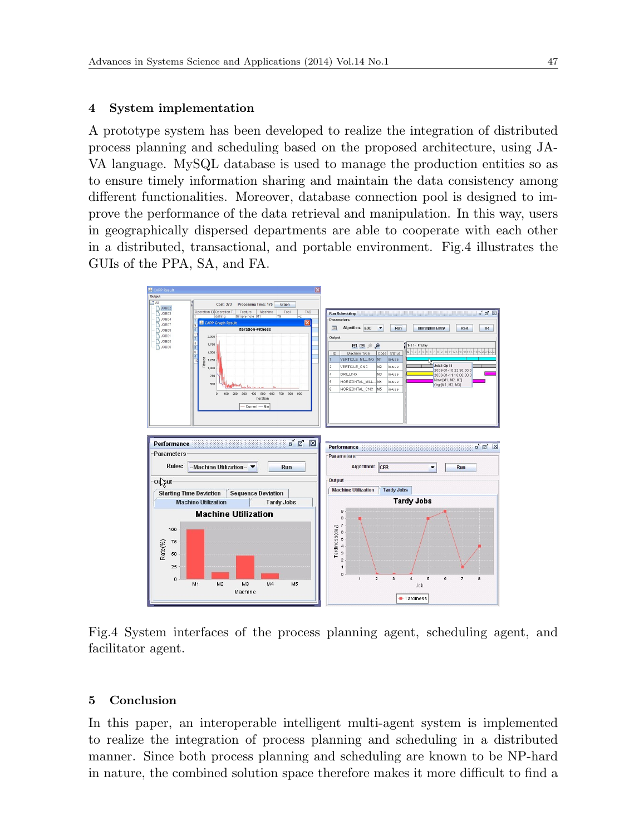#### **4 System implementation**

A prototype system has been developed to realize the integration of distributed process planning and scheduling based on the proposed architecture, using JA-VA language. MySQL database is used to manage the production entities so as to ensure timely information sharing and maintain the data consistency among different functionalities. Moreover, database connection pool is designed to improve the performance of the data retrieval and manipulation. In this way, users in geographically dispersed departments are able to cooperate with each other in a distributed, transactional, and portable environment. Fig.4 illustrates the GUIs of the PPA, SA, and FA.



Fig.4 System interfaces of the process planning agent, scheduling agent, and facilitator agent.

#### **5 Conclusion**

In this paper, an interoperable intelligent multi-agent system is implemented to realize the integration of process planning and scheduling in a distributed manner. Since both process planning and scheduling are known to be NP-hard in nature, the combined solution space therefore makes it more difficult to find a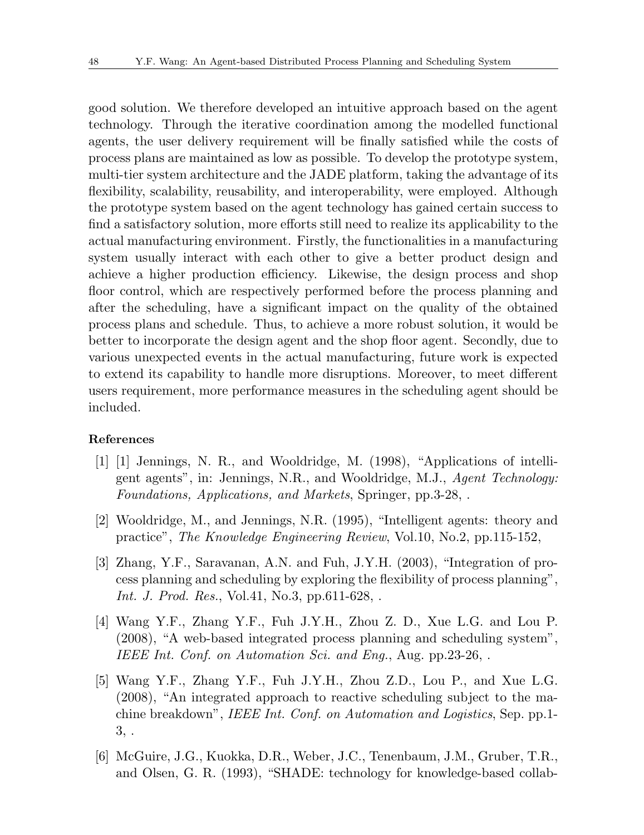good solution. We therefore developed an intuitive approach based on the agent technology. Through the iterative coordination among the modelled functional agents, the user delivery requirement will be finally satisfied while the costs of process plans are maintained as low as possible. To develop the prototype system, multi-tier system architecture and the JADE platform, taking the advantage of its flexibility, scalability, reusability, and interoperability, were employed. Although the prototype system based on the agent technology has gained certain success to find a satisfactory solution, more efforts still need to realize its applicability to the actual manufacturing environment. Firstly, the functionalities in a manufacturing system usually interact with each other to give a better product design and achieve a higher production efficiency. Likewise, the design process and shop floor control, which are respectively performed before the process planning and after the scheduling, have a significant impact on the quality of the obtained process plans and schedule. Thus, to achieve a more robust solution, it would be better to incorporate the design agent and the shop floor agent. Secondly, due to various unexpected events in the actual manufacturing, future work is expected to extend its capability to handle more disruptions. Moreover, to meet different users requirement, more performance measures in the scheduling agent should be included.

#### **References**

- [1] [1] Jennings, N. R., and Wooldridge, M. (1998), "Applications of intelligent agents", in: Jennings, N.R., and Wooldridge, M.J., *Agent Technology: Foundations, Applications, and Markets*, Springer, pp.3-28, .
- [2] Wooldridge, M., and Jennings, N.R. (1995), "Intelligent agents: theory and practice", *The Knowledge Engineering Review*, Vol.10, No.2, pp.115-152,
- [3] Zhang, Y.F., Saravanan, A.N. and Fuh, J.Y.H. (2003), "Integration of process planning and scheduling by exploring the flexibility of process planning", *Int. J. Prod. Res.*, Vol.41, No.3, pp.611-628, .
- [4] Wang Y.F., Zhang Y.F., Fuh J.Y.H., Zhou Z. D., Xue L.G. and Lou P. (2008), "A web-based integrated process planning and scheduling system", *IEEE Int. Conf. on Automation Sci. and Eng.*, Aug. pp.23-26, .
- [5] Wang Y.F., Zhang Y.F., Fuh J.Y.H., Zhou Z.D., Lou P., and Xue L.G. (2008), "An integrated approach to reactive scheduling subject to the machine breakdown", *IEEE Int. Conf. on Automation and Logistics*, Sep. pp.1- 3, .
- [6] McGuire, J.G., Kuokka, D.R., Weber, J.C., Tenenbaum, J.M., Gruber, T.R., and Olsen, G. R. (1993), "SHADE: technology for knowledge-based collab-